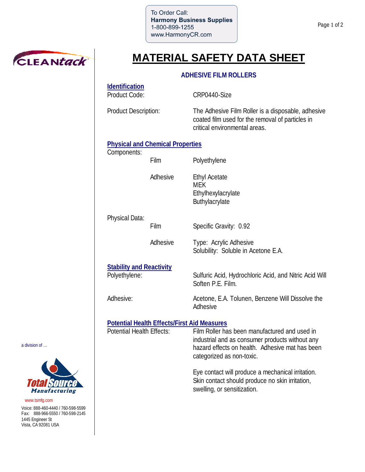To Order Call: **Harmony Business Supplies** 1-800-899-1255 www.HarmonyCR.com

Film Polyethylene

MEK



# **MATERIAL SAFETY DATA SHEET**

### **ADHESIVE FILM ROLLERS**

**Identification** Product Code: CRP0440-Size

Product Description: The Adhesive Film Roller is a disposable, adhesive coated film used for the removal of particles in critical environmental areas.

### **Physical and Chemical Properties**

Components:

Adhesive Ethyl Acetate

Physical Data:

Film Specific Gravity: 0.92

Soften P.E. Film.

**Adhesive** 

Ethylhexylacrylate Buthylacrylate

Adhesive Type: Acrylic Adhesive Solubility: Soluble in Acetone E.A.

## **Stability and Reactivity**

Polyethylene: Sulfuric Acid, Hydrochloric Acid, and Nitric Acid Will

Adhesive: Acetone, E.A. Tolunen, Benzene Will Dissolve the

# **Potential Health Effects/First Aid Measures**

Potential Health Effects: Film Roller has been manufactured and used in industrial and as consumer products without any hazard effects on health. Adhesive mat has been categorized as non-toxic.

> Eye contact will produce a mechanical irritation. Skin contact should produce no skin irritation, swelling, or sensitization.

a division of …



Voice: 888-460-4440 / 760-598-5599 Fax: 888-966-5550 / 760-598-2145 1445 Engineer St Vista, CA 92081 USA